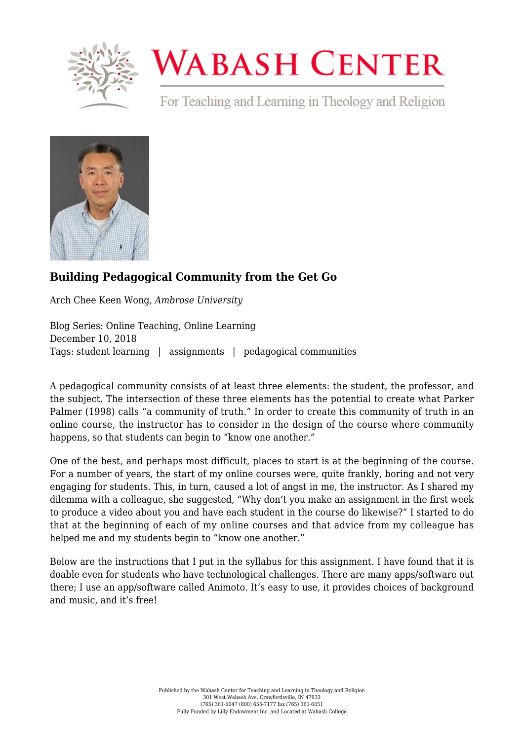

# **WABASH CENTER**

For Teaching and Learning in Theology and Religion



## **[Building Pedagogical Community from the Get Go](https://www.wabashcenter.wabash.edu/2018/12/building-pedagogical-community-from-the-get-go/)**

Arch Chee Keen Wong, *Ambrose University*

Blog Series: Online Teaching, Online Learning December 10, 2018 Tags: student learning | assignments | pedagogical communities

A pedagogical community consists of at least three elements: the student, the professor, and the subject. The intersection of these three elements has the potential to create what Parker Palmer (1998) calls "a community of truth." In order to create this community of truth in an online course, the instructor has to consider in the design of the course where community happens, so that students can begin to "know one another."

One of the best, and perhaps most difficult, places to start is at the beginning of the course. For a number of years, the start of my online courses were, quite frankly, boring and not very engaging for students. This, in turn, caused a lot of angst in me, the instructor. As I shared my dilemma with a colleague, she suggested, "Why don't you make an assignment in the first week to produce a video about you and have each student in the course do likewise?" I started to do that at the beginning of each of my online courses and that advice from my colleague has helped me and my students begin to "know one another."

Below are the instructions that I put in the syllabus for this assignment. I have found that it is doable even for students who have technological challenges. There are many apps/software out there; I use an app/software called Animoto. It's easy to use, it provides choices of background and music, and it's free!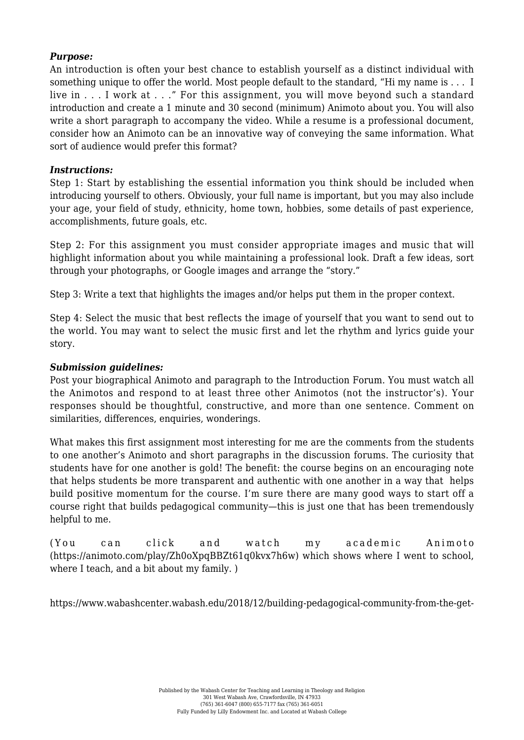### *Purpose:*

An introduction is often your best chance to establish yourself as a distinct individual with something unique to offer the world. Most people default to the standard, "Hi my name is . . . I live in . . . I work at . . ." For this assignment, you will move beyond such a standard introduction and create a 1 minute and 30 second (minimum) Animoto about you. You will also write a short paragraph to accompany the video. While a resume is a professional document, consider how an Animoto can be an innovative way of conveying the same information. What sort of audience would prefer this format?

### *Instructions:*

Step 1: Start by establishing the essential information you think should be included when introducing yourself to others. Obviously, your full name is important, but you may also include your age, your field of study, ethnicity, home town, hobbies, some details of past experience, accomplishments, future goals, etc.

Step 2: For this assignment you must consider appropriate images and music that will highlight information about you while maintaining a professional look. Draft a few ideas, sort through your photographs, or Google images and arrange the "story."

Step 3: Write a text that highlights the images and/or helps put them in the proper context.

Step 4: Select the music that best reflects the image of yourself that you want to send out to the world. You may want to select the music first and let the rhythm and lyrics guide your story.

#### *Submission guidelines:*

Post your biographical Animoto and paragraph to the Introduction Forum. You must watch all the Animotos and respond to at least three other Animotos (not the instructor's). Your responses should be thoughtful, constructive, and more than one sentence. Comment on similarities, differences, enquiries, wonderings.

What makes this first assignment most interesting for me are the comments from the students to one another's Animoto and short paragraphs in the discussion forums. The curiosity that students have for one another is gold! The benefit: the course begins on an encouraging note that helps students be more transparent and authentic with one another in a way that helps build positive momentum for the course. I'm sure there are many good ways to start off a course right that builds pedagogical community—this is just one that has been tremendously helpful to me.

(You can click and watch my academic Animoto ([https://animoto.com/play/Zh0oXpqBBZt61q0kvx7h6w\)](https://animoto.com/play/Zh0oXpqBBZt61q0kvx7h6w) which shows where I went to school, where I teach, and a bit about my family. )

https://www.wabashcenter.wabash.edu/2018/12/building-pedagogical-community-from-the-get-